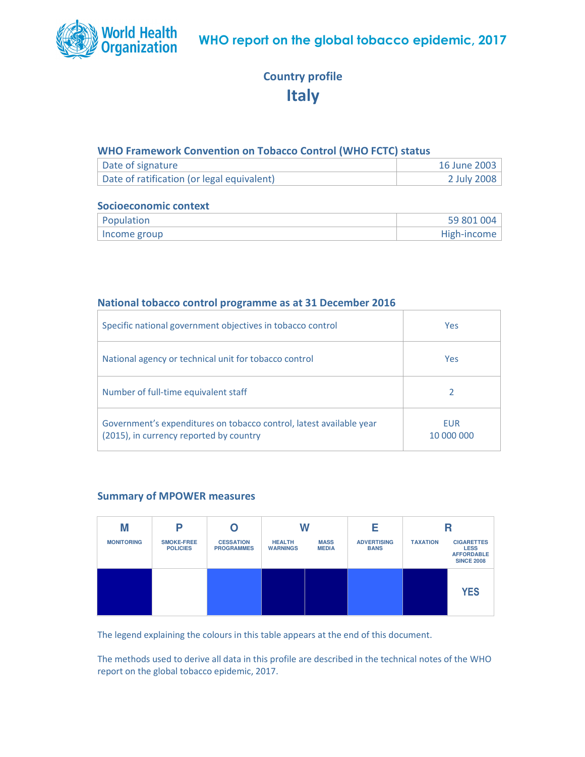

# Country profile **Italy**

## WHO Framework Convention on Tobacco Control (WHO FCTC) status

| Date of signature                          | 16 June 2003 |
|--------------------------------------------|--------------|
| Date of ratification (or legal equivalent) | 2 July 2008  |

## Socioeconomic context

| Population   | 59 801 004  |
|--------------|-------------|
| Income group | High-income |

## National tobacco control programme as at 31 December 2016

| Specific national government objectives in tobacco control                                                     | Yes                      |
|----------------------------------------------------------------------------------------------------------------|--------------------------|
| National agency or technical unit for tobacco control                                                          | Yes                      |
| Number of full-time equivalent staff                                                                           |                          |
| Government's expenditures on tobacco control, latest available year<br>(2015), in currency reported by country | <b>FUR</b><br>10 000 000 |

## Summary of MPOWER measures



The legend explaining the colours in this table appears at the end of this document.

The methods used to derive all data in this profile are described in the technical notes of the WHO report on the global tobacco epidemic, 2017.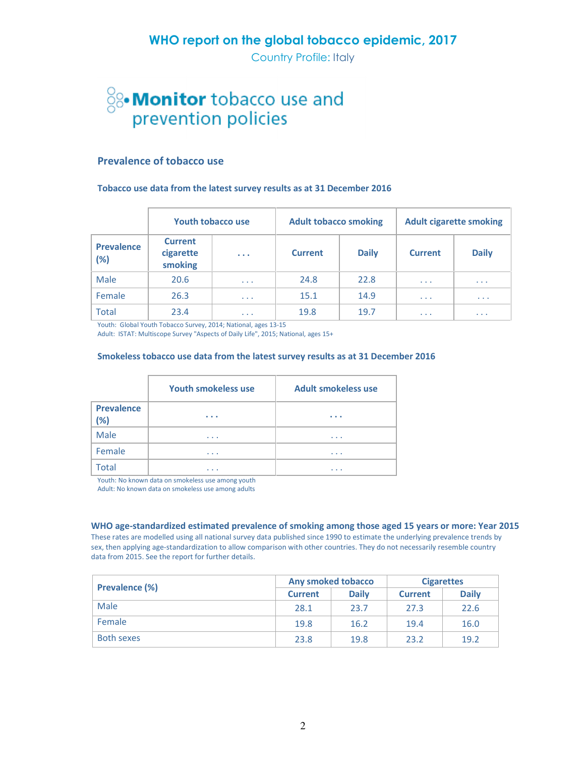Country Profile: Italy

# <sup>S</sup><sup>8</sup> Monitor tobacco use and<br>prevention policies

### Prevalence of tobacco use

#### Tobacco use data from the latest survey results as at 31 December 2016

|                             |                                        | <b>Youth tobacco use</b> | <b>Adult tobacco smoking</b> |              | <b>Adult cigarette smoking</b> |              |
|-----------------------------|----------------------------------------|--------------------------|------------------------------|--------------|--------------------------------|--------------|
| <b>Prevalence</b><br>$(\%)$ | <b>Current</b><br>cigarette<br>smoking | $\cdots$                 | <b>Current</b>               | <b>Daily</b> | <b>Current</b>                 | <b>Daily</b> |
| Male                        | 20.6                                   | $\cdots$                 | 24.8                         | 22.8         | $\sim$ $\sim$ $\sim$           | $\cdots$     |
| Female                      | 26.3                                   | $\cdots$                 | 15.1                         | 14.9         | $\cdots$                       | $\cdots$     |
| <b>Total</b>                | 23.4                                   | $\cdots$                 | 19.8                         | 19.7         | $\cdots$                       | $\cdots$     |

Youth: Global Youth Tobacco Survey, 2014; National, ages 13-15

Adult: ISTAT: Multiscope Survey "Aspects of Daily Life", 2015; National, ages 15+

### Smokeless tobacco use data from the latest survey results as at 31 December 2016

|                          | <b>Youth smokeless use</b> | Adult smokeless use |
|--------------------------|----------------------------|---------------------|
| <b>Prevalence</b><br>(%) | $\cdots$                   | $\cdots$            |
| Male                     | $\cdots$                   | $\cdots$            |
| Female                   | $\cdots$                   | $\cdots$            |
| <b>Total</b>             | .                          | .                   |

Youth: No known data on smokeless use among youth

Adult: No known data on smokeless use among adults

WHO age-standardized estimated prevalence of smoking among those aged 15 years or more: Year 2015

These rates are modelled using all national survey data published since 1990 to estimate the underlying prevalence trends by sex, then applying age-standardization to allow comparison with other countries. They do not necessarily resemble country data from 2015. See the report for further details.

|                       | <b>Any smoked tobacco</b> |              | <b>Cigarettes</b> |              |
|-----------------------|---------------------------|--------------|-------------------|--------------|
| <b>Prevalence (%)</b> | <b>Current</b>            | <b>Daily</b> | <b>Current</b>    | <b>Daily</b> |
| Male                  | 28.1                      | 23.7         | 27.3              | 22.6         |
| Female                | 19.8                      | 16.2         | 19.4              | 16.0         |
| <b>Both sexes</b>     | 23.8                      | 19.8         | 23.2              | 19.2         |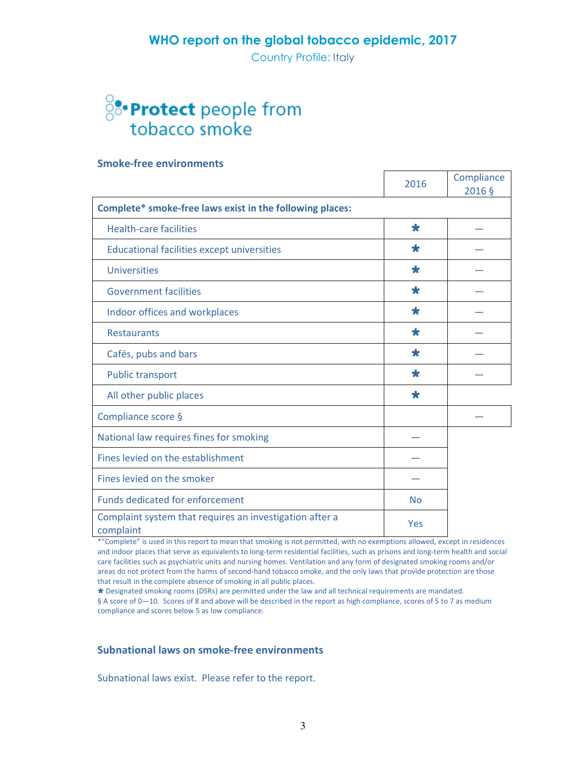Country Profile: Italy

# 8: Protect people from tobacco smoke

### Smoke-free environments

|                                                                      | 2016                | Compliance<br>2016 § |
|----------------------------------------------------------------------|---------------------|----------------------|
| Complete* smoke-free laws exist in the following places:             |                     |                      |
| <b>Health-care facilities</b>                                        | $\bigstar$          |                      |
| <b>Educational facilities except universities</b>                    | $\color{red} \star$ |                      |
| <b>Universities</b>                                                  | $\color{red} \star$ |                      |
| <b>Government facilities</b>                                         | $\bigstar$          |                      |
| Indoor offices and workplaces                                        | $\star$             |                      |
| <b>Restaurants</b>                                                   | $\color{red} \star$ |                      |
| Cafés, pubs and bars                                                 | $\bigstar$          |                      |
| <b>Public transport</b>                                              | $\bigstar$          |                      |
| All other public places                                              | $\color{red} \star$ |                      |
| Compliance score §                                                   |                     |                      |
| National law requires fines for smoking                              |                     |                      |
| Fines levied on the establishment                                    |                     |                      |
| Fines levied on the smoker                                           |                     |                      |
| <b>Funds dedicated for enforcement</b>                               | <b>No</b>           |                      |
| Complaint system that requires an investigation after a<br>complaint | Yes                 |                      |

\*"Complete" is used in this report to mean that smoking is not permitted, with no exemptions allowed, except in residences and indoor places that serve as equivalents to long-term residential facilities, such as prisons and long-term health and social care facilities such as psychiatric units and nursing homes. Ventilation and any form of designated smoking rooms and/or areas do not protect from the harms of second-hand tobacco smoke, and the only laws that provide protection are those that result in the complete absence of smoking in all public places.

 Designated smoking rooms (DSRs) are permitted under the law and all technical requirements are mandated. § A score of 0—10. Scores of 8 and above will be described in the report as high compliance, scores of 5 to 7 as medium compliance and scores below 5 as low compliance.

## Subnational laws on smoke-free environments

Subnational laws exist. Please refer to the report.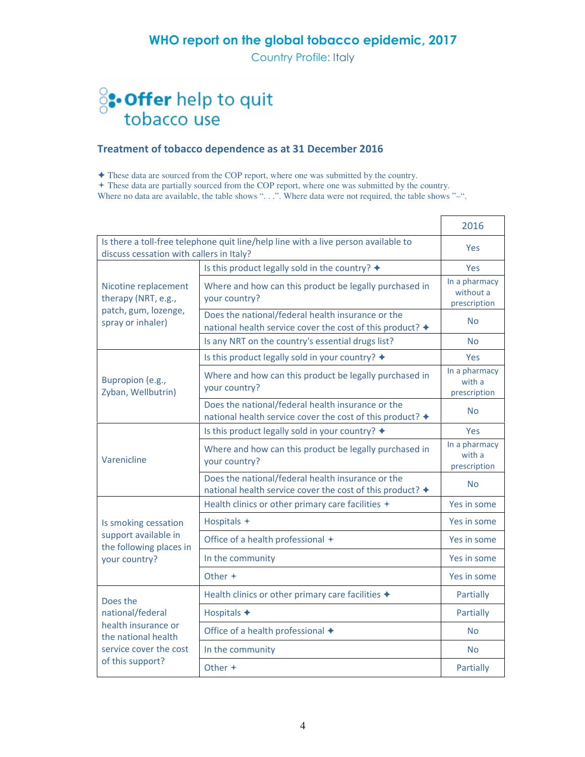Country Profile: Italy

# <sup>8</sup>: Offer help to quit<br>tobacco use

## Treatment of tobacco dependence as at 31 December 2016

These data are sourced from the COP report, where one was submitted by the country.

+ These data are partially sourced from the COP report, where one was submitted by the country.

Where no data are available, the table shows "...". Where data were not required, the table shows "-".

|                                                 |                                                                                                                | 2016                                       |
|-------------------------------------------------|----------------------------------------------------------------------------------------------------------------|--------------------------------------------|
|                                                 | Is there a toll-free telephone quit line/help line with a live person available to                             | <b>Yes</b>                                 |
| discuss cessation with callers in Italy?        |                                                                                                                | Yes                                        |
|                                                 | Is this product legally sold in the country? $\triangleleft$                                                   |                                            |
| Nicotine replacement<br>therapy (NRT, e.g.,     | Where and how can this product be legally purchased in<br>your country?                                        | In a pharmacy<br>without a<br>prescription |
| patch, gum, lozenge,<br>spray or inhaler)       | Does the national/federal health insurance or the<br>national health service cover the cost of this product? + | <b>No</b>                                  |
|                                                 | Is any NRT on the country's essential drugs list?                                                              | N <sub>o</sub>                             |
|                                                 | Is this product legally sold in your country? +                                                                | <b>Yes</b>                                 |
| Bupropion (e.g.,<br>Zyban, Wellbutrin)          | Where and how can this product be legally purchased in<br>your country?                                        | In a pharmacy<br>with a<br>prescription    |
|                                                 | Does the national/federal health insurance or the<br>national health service cover the cost of this product? + | <b>No</b>                                  |
|                                                 | Is this product legally sold in your country? +                                                                | <b>Yes</b>                                 |
| Varenicline                                     | Where and how can this product be legally purchased in<br>your country?                                        | In a pharmacy<br>with a<br>prescription    |
|                                                 | Does the national/federal health insurance or the<br>national health service cover the cost of this product? + | <b>No</b>                                  |
|                                                 | Health clinics or other primary care facilities +                                                              | Yes in some                                |
| Is smoking cessation                            | Hospitals +                                                                                                    | Yes in some                                |
| support available in<br>the following places in | Office of a health professional +                                                                              | Yes in some                                |
| your country?                                   | In the community                                                                                               | Yes in some                                |
|                                                 | Other $+$                                                                                                      | Yes in some                                |
| Does the                                        | Health clinics or other primary care facilities +                                                              | Partially                                  |
| national/federal                                | Hospitals +                                                                                                    | Partially                                  |
| health insurance or<br>the national health      | Office of a health professional ◆                                                                              | No                                         |
| service cover the cost                          | In the community                                                                                               | <b>No</b>                                  |
| of this support?                                | Other $+$                                                                                                      | Partially                                  |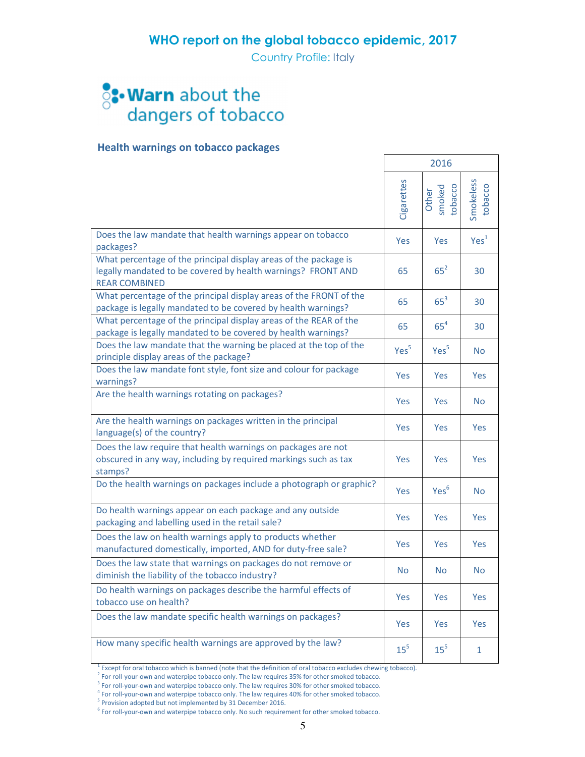Country Profile: Italy

# **S: Warn** about the<br>dangers of tobacco

## Health warnings on tobacco packages

|                                                                                                                                                          |                  | 2016                       |                      |
|----------------------------------------------------------------------------------------------------------------------------------------------------------|------------------|----------------------------|----------------------|
|                                                                                                                                                          | Cigarettes       | smoked<br>tobacco<br>Other | Smokeless<br>tobacco |
| Does the law mandate that health warnings appear on tobacco<br>packages?                                                                                 | <b>Yes</b>       | <b>Yes</b>                 | Yes <sup>1</sup>     |
| What percentage of the principal display areas of the package is<br>legally mandated to be covered by health warnings? FRONT AND<br><b>REAR COMBINED</b> | 65               | $65^2$                     | 30                   |
| What percentage of the principal display areas of the FRONT of the<br>package is legally mandated to be covered by health warnings?                      | 65               | $65^3$                     | 30                   |
| What percentage of the principal display areas of the REAR of the<br>package is legally mandated to be covered by health warnings?                       | 65               | $65^4$                     | 30                   |
| Does the law mandate that the warning be placed at the top of the<br>principle display areas of the package?                                             | Yes <sup>5</sup> | Yes <sup>5</sup>           | <b>No</b>            |
| Does the law mandate font style, font size and colour for package<br>warnings?                                                                           | Yes              | <b>Yes</b>                 | Yes                  |
| Are the health warnings rotating on packages?                                                                                                            | <b>Yes</b>       | Yes                        | <b>No</b>            |
| Are the health warnings on packages written in the principal<br>language(s) of the country?                                                              | <b>Yes</b>       | Yes                        | <b>Yes</b>           |
| Does the law require that health warnings on packages are not<br>obscured in any way, including by required markings such as tax<br>stamps?              | Yes              | Yes                        | Yes                  |
| Do the health warnings on packages include a photograph or graphic?                                                                                      | <b>Yes</b>       | Yes <sup>6</sup>           | <b>No</b>            |
| Do health warnings appear on each package and any outside<br>packaging and labelling used in the retail sale?                                            | Yes              | Yes                        | Yes                  |
| Does the law on health warnings apply to products whether<br>manufactured domestically, imported, AND for duty-free sale?                                | <b>Yes</b>       | Yes                        | <b>Yes</b>           |
| Does the law state that warnings on packages do not remove or<br>diminish the liability of the tobacco industry?                                         | <b>No</b>        | <b>No</b>                  | <b>No</b>            |
| Do health warnings on packages describe the harmful effects of<br>tobacco use on health?                                                                 | Yes              | <b>Yes</b>                 | Yes                  |
| Does the law mandate specific health warnings on packages?                                                                                               | <b>Yes</b>       | Yes                        | <b>Yes</b>           |
| How many specific health warnings are approved by the law?                                                                                               | 15 <sup>5</sup>  | 15 <sup>5</sup>            | $\mathbf{1}$         |

<sup>1</sup> Except for oral tobacco which is banned (note that the definition of oral tobacco excludes chewing tobacco).

 $2^{2}$  For roll-your-own and waterpipe tobacco only. The law requires 35% for other smoked tobacco.

 $3$  For roll-your-own and waterpipe tobacco only. The law requires 30% for other smoked tobacco.

 $4$  For roll-your-own and waterpipe tobacco only. The law requires 40% for other smoked tobacco.

<sup>5</sup> Provision adopted but not implemented by 31 December 2016.

6 For roll-your-own and waterpipe tobacco only. No such requirement for other smoked tobacco.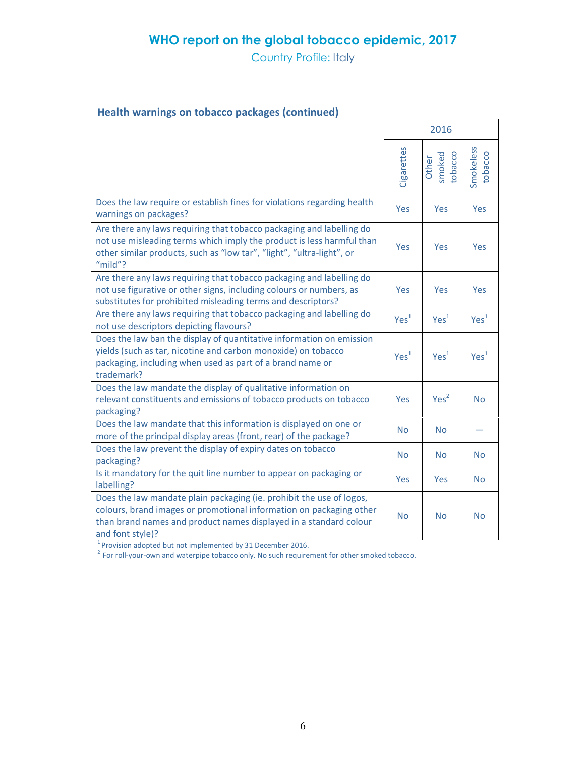Country Profile: Italy

# Health warnings on tobacco packages (continued)

|                                                                                                                                                                                                                                      |                  | 2016                       |                      |
|--------------------------------------------------------------------------------------------------------------------------------------------------------------------------------------------------------------------------------------|------------------|----------------------------|----------------------|
|                                                                                                                                                                                                                                      | Cigarettes       | smoked<br>tobacco<br>Other | Smokeless<br>tobacco |
| Does the law require or establish fines for violations regarding health<br>warnings on packages?                                                                                                                                     | Yes              | Yes                        | Yes                  |
| Are there any laws requiring that tobacco packaging and labelling do<br>not use misleading terms which imply the product is less harmful than<br>other similar products, such as "low tar", "light", "ultra-light", or<br>"mild"?    | Yes              | Yes                        | Yes                  |
| Are there any laws requiring that tobacco packaging and labelling do<br>not use figurative or other signs, including colours or numbers, as<br>substitutes for prohibited misleading terms and descriptors?                          | <b>Yes</b>       | Yes                        | Yes                  |
| Are there any laws requiring that tobacco packaging and labelling do<br>not use descriptors depicting flavours?                                                                                                                      | Yes <sup>1</sup> | Yes <sup>1</sup>           | Yes <sup>1</sup>     |
| Does the law ban the display of quantitative information on emission<br>yields (such as tar, nicotine and carbon monoxide) on tobacco<br>packaging, including when used as part of a brand name or<br>trademark?                     | Yes <sup>1</sup> | Yes <sup>1</sup>           | Yes <sup>1</sup>     |
| Does the law mandate the display of qualitative information on<br>relevant constituents and emissions of tobacco products on tobacco<br>packaging?                                                                                   | <b>Yes</b>       | Yes <sup>2</sup>           | <b>No</b>            |
| Does the law mandate that this information is displayed on one or<br>more of the principal display areas (front, rear) of the package?                                                                                               | <b>No</b>        | <b>No</b>                  |                      |
| Does the law prevent the display of expiry dates on tobacco<br>packaging?                                                                                                                                                            | <b>No</b>        | <b>No</b>                  | <b>No</b>            |
| Is it mandatory for the quit line number to appear on packaging or<br>labelling?                                                                                                                                                     | <b>Yes</b>       | Yes                        | <b>No</b>            |
| Does the law mandate plain packaging (ie. prohibit the use of logos,<br>colours, brand images or promotional information on packaging other<br>than brand names and product names displayed in a standard colour<br>and font style)? | <b>No</b>        | <b>No</b>                  | <b>No</b>            |

 $1$ Provision adopted but not implemented by 31 December 2016.

 $2^{2}$  For roll-your-own and waterpipe tobacco only. No such requirement for other smoked tobacco.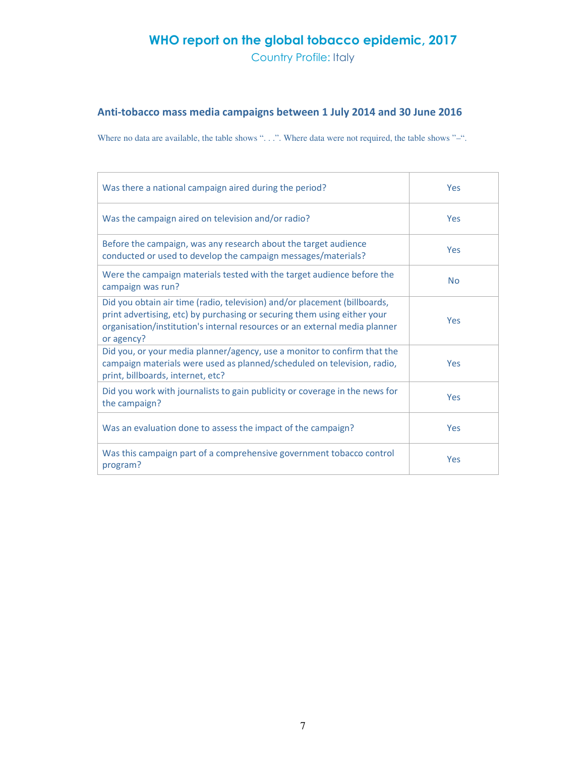Country Profile: Italy

# Anti-tobacco mass media campaigns between 1 July 2014 and 30 June 2016

Where no data are available, the table shows "...". Where data were not required, the table shows "-".

| Was there a national campaign aired during the period?                                                                                                                                                                                            | Yes        |
|---------------------------------------------------------------------------------------------------------------------------------------------------------------------------------------------------------------------------------------------------|------------|
| Was the campaign aired on television and/or radio?                                                                                                                                                                                                | Yes        |
| Before the campaign, was any research about the target audience<br>conducted or used to develop the campaign messages/materials?                                                                                                                  | <b>Yes</b> |
| Were the campaign materials tested with the target audience before the<br>campaign was run?                                                                                                                                                       | <b>No</b>  |
| Did you obtain air time (radio, television) and/or placement (billboards,<br>print advertising, etc) by purchasing or securing them using either your<br>organisation/institution's internal resources or an external media planner<br>or agency? | <b>Yes</b> |
| Did you, or your media planner/agency, use a monitor to confirm that the<br>campaign materials were used as planned/scheduled on television, radio,<br>print, billboards, internet, etc?                                                          | Yes        |
| Did you work with journalists to gain publicity or coverage in the news for<br>the campaign?                                                                                                                                                      | <b>Yes</b> |
| Was an evaluation done to assess the impact of the campaign?                                                                                                                                                                                      | Yes        |
| Was this campaign part of a comprehensive government tobacco control<br>program?                                                                                                                                                                  | Yes        |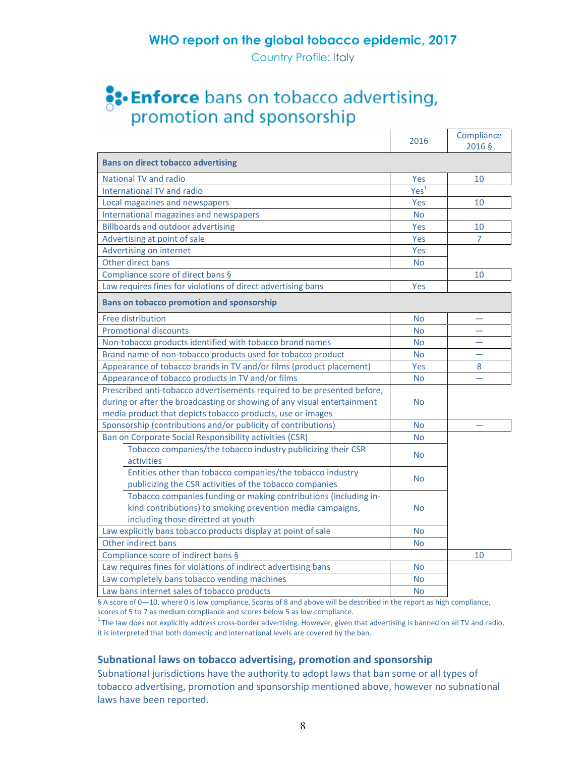Country Profile: Italy

# **S:- Enforce** bans on tobacco advertising,<br>promotion and sponsorship

|                                                                                                                                                                     | 2016             | Compliance<br>2016 § |  |  |
|---------------------------------------------------------------------------------------------------------------------------------------------------------------------|------------------|----------------------|--|--|
| <b>Bans on direct tobacco advertising</b>                                                                                                                           |                  |                      |  |  |
| <b>National TV and radio</b>                                                                                                                                        | Yes              | 10                   |  |  |
| International TV and radio                                                                                                                                          | Yes <sup>1</sup> |                      |  |  |
| Local magazines and newspapers                                                                                                                                      | Yes              | 10                   |  |  |
| International magazines and newspapers                                                                                                                              | <b>No</b>        |                      |  |  |
| <b>Billboards and outdoor advertising</b>                                                                                                                           | Yes              | 10                   |  |  |
| Advertising at point of sale                                                                                                                                        | Yes              | 7                    |  |  |
| Advertising on internet                                                                                                                                             | Yes              |                      |  |  |
| Other direct bans                                                                                                                                                   | <b>No</b>        |                      |  |  |
| Compliance score of direct bans §                                                                                                                                   |                  | 10                   |  |  |
| Law requires fines for violations of direct advertising bans                                                                                                        | Yes              |                      |  |  |
| <b>Bans on tobacco promotion and sponsorship</b>                                                                                                                    |                  |                      |  |  |
| Free distribution                                                                                                                                                   | No               |                      |  |  |
| <b>Promotional discounts</b>                                                                                                                                        | <b>No</b>        |                      |  |  |
| Non-tobacco products identified with tobacco brand names                                                                                                            | <b>No</b>        |                      |  |  |
| Brand name of non-tobacco products used for tobacco product                                                                                                         | <b>No</b>        |                      |  |  |
| Appearance of tobacco brands in TV and/or films (product placement)                                                                                                 | Yes              | 8                    |  |  |
| Appearance of tobacco products in TV and/or films                                                                                                                   | <b>No</b>        | $\equiv$             |  |  |
| Prescribed anti-tobacco advertisements required to be presented before,                                                                                             |                  |                      |  |  |
| during or after the broadcasting or showing of any visual entertainment                                                                                             | <b>No</b>        |                      |  |  |
| media product that depicts tobacco products, use or images                                                                                                          |                  |                      |  |  |
| Sponsorship (contributions and/or publicity of contributions)                                                                                                       | <b>No</b>        |                      |  |  |
| Ban on Corporate Social Responsibility activities (CSR)                                                                                                             | <b>No</b>        |                      |  |  |
| Tobacco companies/the tobacco industry publicizing their CSR<br><b>activities</b>                                                                                   | <b>No</b>        |                      |  |  |
| Entities other than tobacco companies/the tobacco industry<br>publicizing the CSR activities of the tobacco companies                                               | <b>No</b>        |                      |  |  |
| Tobacco companies funding or making contributions (including in-<br>kind contributions) to smoking prevention media campaigns,<br>including those directed at youth | <b>No</b>        |                      |  |  |
| Law explicitly bans tobacco products display at point of sale                                                                                                       | <b>No</b>        |                      |  |  |
| Other indirect bans                                                                                                                                                 | <b>No</b>        |                      |  |  |
| Compliance score of indirect bans §                                                                                                                                 |                  | 10                   |  |  |
| Law requires fines for violations of indirect advertising bans                                                                                                      | No               |                      |  |  |
| Law completely bans tobacco vending machines                                                                                                                        | No               |                      |  |  |
| Law bans internet sales of tobacco products                                                                                                                         | No               |                      |  |  |

§ A score of 0-10, where 0 is low compliance. Scores of 8 and above will be described in the report as high compliance, scores of 5 to 7 as medium compliance and scores below 5 as low compliance.

 $1$ The law does not explicitly address cross-border advertising. However, given that advertising is banned on all TV and radio, it is interpreted that both domestic and international levels are covered by the ban.

## Subnational laws on tobacco advertising, promotion and sponsorship

Subnational jurisdictions have the authority to adopt laws that ban some or all types of tobacco advertising, promotion and sponsorship mentioned above, however no subnational laws have been reported.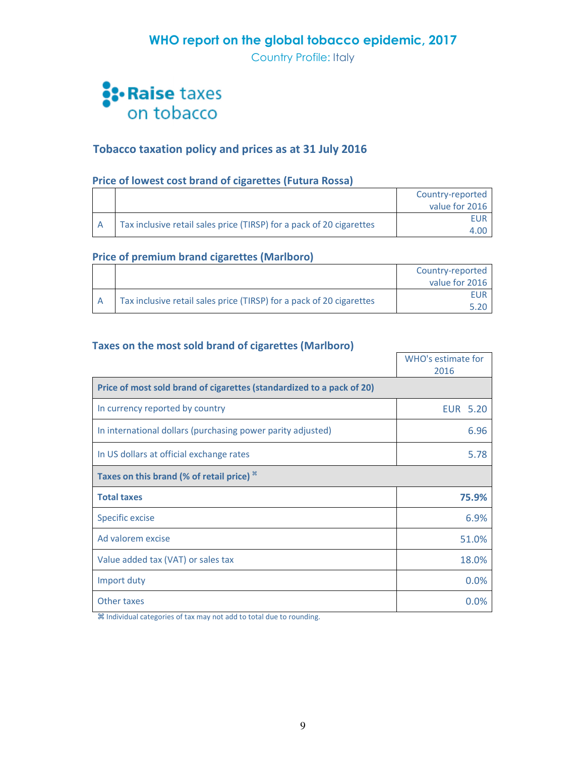Country Profile: Italy



# Tobacco taxation policy and prices as at 31 July 2016

# Price of lowest cost brand of cigarettes (Futura Rossa)

|  |                                                                      | Country-reported |
|--|----------------------------------------------------------------------|------------------|
|  |                                                                      | value for 2016   |
|  | Tax inclusive retail sales price (TIRSP) for a pack of 20 cigarettes | <b>FUR</b>       |
|  |                                                                      |                  |

## Price of premium brand cigarettes (Marlboro)

|  |                                                                      | Country-reported |
|--|----------------------------------------------------------------------|------------------|
|  |                                                                      | value for 2016   |
|  |                                                                      |                  |
|  | Tax inclusive retail sales price (TIRSP) for a pack of 20 cigarettes |                  |

## Taxes on the most sold brand of cigarettes (Marlboro)

|                                                                       | WHO's estimate for<br>2016 |
|-----------------------------------------------------------------------|----------------------------|
| Price of most sold brand of cigarettes (standardized to a pack of 20) |                            |
| In currency reported by country                                       | <b>EUR 5.20</b>            |
| In international dollars (purchasing power parity adjusted)           | 6.96                       |
| In US dollars at official exchange rates                              | 5.78                       |
| Taxes on this brand (% of retail price) $*$                           |                            |
| <b>Total taxes</b>                                                    | 75.9%                      |
| Specific excise                                                       | 6.9%                       |
| Ad valorem excise                                                     | 51.0%                      |
| Value added tax (VAT) or sales tax                                    | 18.0%                      |
| Import duty                                                           | 0.0%                       |
| Other taxes                                                           | 0.0%                       |

Individual categories of tax may not add to total due to rounding.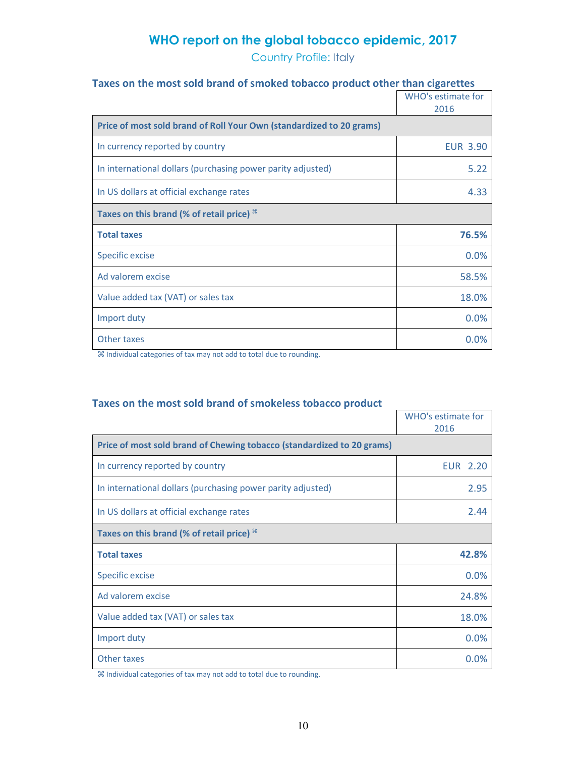Country Profile: Italy

# Taxes on the most sold brand of smoked tobacco product other than cigarettes

|                                                                      | WHO's estimate for<br>2016 |
|----------------------------------------------------------------------|----------------------------|
| Price of most sold brand of Roll Your Own (standardized to 20 grams) |                            |
| In currency reported by country                                      | <b>EUR 3.90</b>            |
| In international dollars (purchasing power parity adjusted)          | 5.22                       |
| In US dollars at official exchange rates                             | 4.33                       |
| Taxes on this brand (% of retail price) $*$                          |                            |
| <b>Total taxes</b>                                                   | 76.5%                      |
| <b>Specific excise</b>                                               | 0.0%                       |
| Ad valorem excise                                                    | 58.5%                      |
| Value added tax (VAT) or sales tax                                   | 18.0%                      |
| Import duty                                                          | 0.0%                       |
| Other taxes                                                          | 0.0%                       |

Individual categories of tax may not add to total due to rounding.

## Taxes on the most sold brand of smokeless tobacco product

|                                                                        | <b>WHO's estimate for</b><br>2016 |
|------------------------------------------------------------------------|-----------------------------------|
| Price of most sold brand of Chewing tobacco (standardized to 20 grams) |                                   |
| In currency reported by country                                        | EUR 2.20                          |
| In international dollars (purchasing power parity adjusted)            | 2.95                              |
| In US dollars at official exchange rates                               | 2.44                              |
| Taxes on this brand (% of retail price) $*$                            |                                   |
| <b>Total taxes</b>                                                     | 42.8%                             |
| Specific excise                                                        | 0.0%                              |
| Ad valorem excise                                                      | 24.8%                             |
| Value added tax (VAT) or sales tax                                     | 18.0%                             |
| Import duty                                                            | 0.0%                              |
| Other taxes                                                            | $0.0\%$                           |

Individual categories of tax may not add to total due to rounding.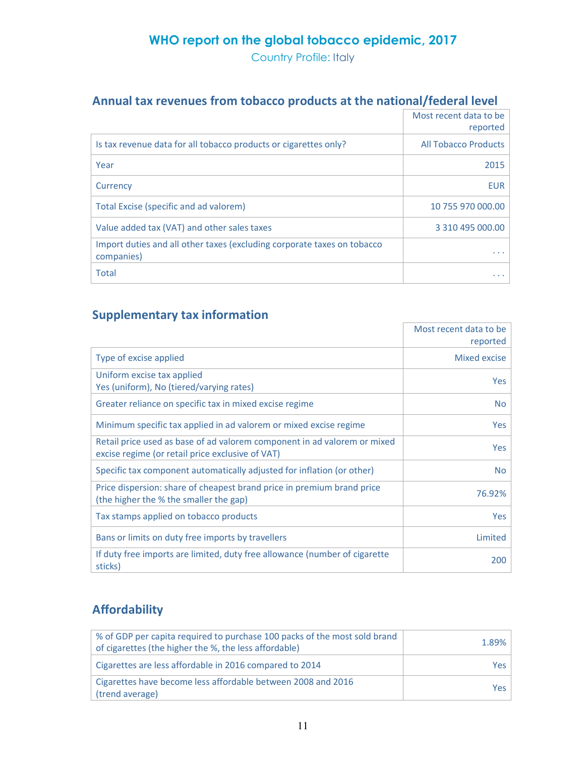Country Profile: Italy

# Annual tax revenues from tobacco products at the national/federal level

|                                                                                       | Most recent data to be      |
|---------------------------------------------------------------------------------------|-----------------------------|
|                                                                                       | reported                    |
| Is tax revenue data for all tobacco products or cigarettes only?                      | <b>All Tobacco Products</b> |
| Year                                                                                  | 2015                        |
| Currency                                                                              | EUR                         |
| Total Excise (specific and ad valorem)                                                | 10 755 970 000.00           |
| Value added tax (VAT) and other sales taxes                                           | 3 310 495 000.00            |
| Import duties and all other taxes (excluding corporate taxes on tobacco<br>companies) |                             |
| <b>Total</b>                                                                          |                             |

# Supplementary tax information

|                                                                                                                              | Most recent data to be |
|------------------------------------------------------------------------------------------------------------------------------|------------------------|
|                                                                                                                              | reported               |
| Type of excise applied                                                                                                       | Mixed excise           |
| Uniform excise tax applied<br>Yes (uniform), No (tiered/varying rates)                                                       | Yes                    |
| Greater reliance on specific tax in mixed excise regime                                                                      | No.                    |
| Minimum specific tax applied in ad valorem or mixed excise regime                                                            | Yes                    |
| Retail price used as base of ad valorem component in ad valorem or mixed<br>excise regime (or retail price exclusive of VAT) | Yes                    |
| Specific tax component automatically adjusted for inflation (or other)                                                       | No                     |
| Price dispersion: share of cheapest brand price in premium brand price<br>(the higher the % the smaller the gap)             | 76.92%                 |
| Tax stamps applied on tobacco products                                                                                       | Yes                    |
| Bans or limits on duty free imports by travellers                                                                            | Limited                |
| If duty free imports are limited, duty free allowance (number of cigarette<br>sticks)                                        | 200                    |

# Affordability

| % of GDP per capita required to purchase 100 packs of the most sold brand<br>of cigarettes (the higher the %, the less affordable) | 1.89% |
|------------------------------------------------------------------------------------------------------------------------------------|-------|
| Cigarettes are less affordable in 2016 compared to 2014                                                                            | Yes.  |
| Cigarettes have become less affordable between 2008 and 2016<br>(trend average)                                                    | Yes   |